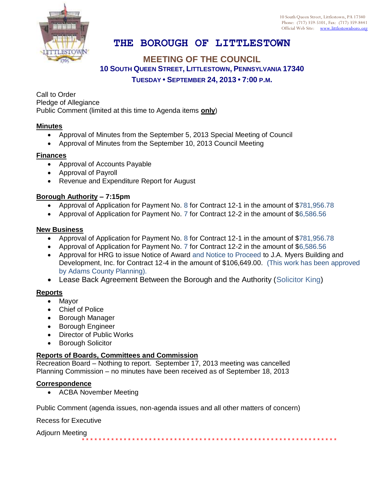

# **THE BOROUGH OF LITTLESTOWN**

## **MEETING OF THE COUNCIL 10 SOUTH QUEEN STREET, LITTLESTOWN, PENNSYLVANIA 17340 TUESDAY • SEPTEMBER 24, 2013 • 7:00 P.M.**

Call to Order Pledge of Allegiance Public Comment (limited at this time to Agenda items **only**)

#### **Minutes**

- Approval of Minutes from the September 5, 2013 Special Meeting of Council
- Approval of Minutes from the September 10, 2013 Council Meeting

#### **Finances**

- Approval of Accounts Payable
- Approval of Payroll
- Revenue and Expenditure Report for August

#### **Borough Authority – 7:15pm**

- Approval of Application for Payment No. 8 for Contract 12-1 in the amount of \$781,956.78
- Approval of Application for Payment No. 7 for Contract 12-2 in the amount of \$6,586.56

#### **New Business**

- Approval of Application for Payment No. 8 for Contract 12-1 in the amount of \$781,956.78
- Approval of Application for Payment No. 7 for Contract 12-2 in the amount of \$6,586.56
- Approval for HRG to issue Notice of Award and Notice to Proceed to J.A. Myers Building and Development, Inc. for Contract 12-4 in the amount of \$106,649.00. (This work has been approved by Adams County Planning).

\* \* \* \* \* \* \* \* \* \* \* \* \* \* \* \* \* \* \* \* \* \* \* \* \* \* \* \* \* \* \* \* \* \* \* \* \* \* \* \* \* \* \* \* \* \* \* \* \* \* \* \* \* \* \* \* \* \* \* \* \*

Lease Back Agreement Between the Borough and the Authority (Solicitor King)

#### **Reports**

- Mayor
- Chief of Police
- Borough Manager
- **•** Borough Engineer
- Director of Public Works
- **•** Borough Solicitor

### **Reports of Boards, Committees and Commission**

Recreation Board – Nothing to report. September 17, 2013 meeting was cancelled Planning Commission – no minutes have been received as of September 18, 2013

#### **Correspondence**

ACBA November Meeting

Public Comment (agenda issues, non-agenda issues and all other matters of concern)

Recess for Executive

Adjourn Meeting